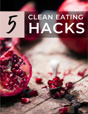

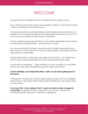## WELCOME

Our grocery stores are filled with tons of options when it comes to food.

If you want your meal to be quick, easy, already cooked, or even frozen for later - there's something on the shelves for you.

Our food has gotten so commercialized, and its importance thrown behind our budgets and a constant barrage of tasty-looking advertisements that most of us don't even know where the food we eat comes from.

This has created a growing population of sick people desperately trying to figure out what they are doing wrong… and how they can heal.

But, when searching for answers, they are usually handed a prescription and told to move on. It is so sad to see when so many problems are simply what they are putting into their bodies.

Eating healthy feels complicated, and labels are confusing… you barely have time to eat, let alone spend extra time with complicated recipes, right?

Let me tell you something … Clean eating isn't a new concept or a novel idea. In fact, man was doing it long before grocery stores even existed.

### **And it's definitely not complicated either- really, it's just about getting back to the basics.**

In this guide, I will open the world of clean eating and give you five surprisingly simple hacks to get started clean eating without thinking too hard about what you are eating.

**If you are in the "clean eating is hard" crowd, but want to make changes for your health,** this quide will show you exactly how to do that, without any complicated steps, directions, or expensive ingredients.

> These statements have not been evaluated by the Food and Drug Administration. This is not intended to diagnose, treat, cure, or prevent any diseases. Wellness With Gina Copyright 2022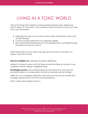# LIVING IN A TOXIC WORLD

One of the things that surprises so many people exploring clean eating and what it means to "eat clean" is the number of toxins that are not only in our food but in our environment.

- Pesticides are used on our produce that causes inflammation and a host of other illnesses.
- Cancer-causing chemicals in our cleaning supplies.
- Even chemicals are leached out of and absorbed into our bodies through the dishes we store our cups in.

These toxins build up in our body and clog up the function of the brain, our organs, and even our skin.

**This isn't to frighten you**, although the idea is frightening.

Instead, it is meant to show you that there is more than likely an answer to your mysterious chronic fatigue or digestive issues.

**Knowledge is power,** and understanding the world around us and what we encounter allows us to make better choices for ourselves and our families.

While we can't completely eliminate toxins from our lives, we can control and manage a good amount of what we are exposed to.

That is where clean eating comes in.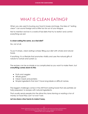## WHAT IS CLEAN EATING?

When you are used to buying your food in boxes and bags, the idea of "eating clean" can sound foreign and a little too far out of your league.

Not to mention we live in a world of fad diets that try to restrict and control everything we eat.

#### **Is clean eating the same, as a fad diet?**

No, not at all.

To put it simply, clean eating is simply filling your diet with whole and natural foods.

If anything, it is a lifestyle that promotes vitality and uses the natural gifts of nature to nurture and sustain us.

The recipes can be as simple or as complicated as you want to make them, but **everything comes down to this:**

- Fruits and veggies
- Whole grains
- Clean meats and proteins
- Simple ingredients that don't have long labels or difficult names.

The biggest challenge comes in the shift from eating foods that are partially (or fully) prepared, to recipes with natural ingredients.

That usually sends people into the drive-thru lane starving or wasting a ton of money on food they can't or won't eat.

#### **Let me share a few hacks to make it easy.**

These statements have not been evaluated by the Food and Drug Administration. This is not intended to diagnose, treat, cure, or prevent any diseases. Wellness With Gina Copyright 2022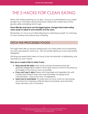## THE 5 HACKS FOR CLEAN EATING

When I first started cleaning up my diet, I was just as overwhelmed as you might be right now, and there were several times I stared with a blank face at the grocery aisles wondering what to get.

### **These little tips and hacks are the biggest game-changers that made eating clean easier to adjust to and maintain over the years.**

Remember, it's not so much eliminating food or restricting yourself- it is switching to more nutritious and natural ways of eating.

### DITCH THE PROCESSED FOODS

This might seem like an obvious starting point, but when pretty much everything you eat is processed in some way - this can be like asking you to just stop eating altogether.

Ditching processed foods does not have to be that dramatic or frightening, and I promise you won't starve.

### **Here are a couple of tips to make it easy:**

- **Shop around the aisles.** Fresh foods and less processed foods are generally refrigerated or kept in more open space so stick to the produce, and edges of the store as much as possible.
- **If you can't say it, skip it**. Boxes with long labels and ingredient lists with complicated things in them are more than likely not going to be contaminated. Look for less than 10 ingredients.
- **Learn how to read labels**. To make sure you know what you are buying, and what is in it, learning a little bit about food labels, and what they mean will clear a lot of confusion.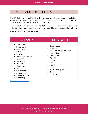### CLEAN 15 AND DIRTY DOZEN LIST

The EWG (Environmental Working Group) does a study every year on the fruits and vegetables that tend to have the most and the least exposure to pesticides that leave residue (and end up in our stomach).

This is probably one of my favorite hacks because it is literally a list you can keep with you when trying to decide what to spend a little more for organic might be.

#### **Here is the 2022 list from the EWG:**

| <b>CLEAN 15</b>                                                                                                                                                                                                        | <b>DIRTY DOZEN</b>                                                                                                                                                                            |
|------------------------------------------------------------------------------------------------------------------------------------------------------------------------------------------------------------------------|-----------------------------------------------------------------------------------------------------------------------------------------------------------------------------------------------|
| Avocados<br>Sweet corn<br>Pineapple<br>Onions<br>Papaya<br>Sweet peas (frozen)<br>$\bullet$<br>Eggplant<br>Asparagus<br><b>Broccoli</b><br>Cabbage<br>Kiwi<br>Cauliflower<br>Mushrooms<br>Honeydew melon<br>Cantaloupe | Strawberries<br>Spinach<br>Kale, collard greens, and<br>mustard greens<br><b>Nectarines</b><br>Apples<br>Grapes<br>Cherries<br>Peaches<br>Pears<br>Bell and hot peppers<br>Celery<br>Tomatoes |

<https://www.ewg.org/foodnews/>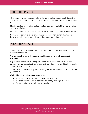### DITCH THE PLASTIC

One place that no one expects to find chemicals that cause health issues is in the packages that our food and water come in, and what we store and eat out of.

**Plastics contain a chemical called BPA that can leach out** of the plastic and into whatever is in them.

BPA can cause cancer, tumors, chronic inflammation, and even genetic issues.

Switching to ceramic, glass, or stainless-steel containers is more than just a healthy switch - your food will taste better and store better too.

### DITCH THE SUGAR

Sugar is an important part of our body's functioning; it helps regulate a lot of functions in the body.

### **The problem is, most of the sugar we eat these days is overly processed, bleached.**

Sugar is also addictive, meaning your body will crave it, and you will have symptoms when reducing it- so of course, it is added into everything from apple sauce to even cheeses.

That also means we get way too much sugar daily, on top of the fact that it is no good for us.

#### **My best hacks to cut down on sugar is to:**

- Utilize the other hacks and avoid processed foods
- Use alternative natural sweeteners like honey and agave nectar
- Use fruit and natural fruit juice to sweeten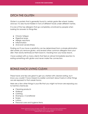### DITCH THE GLUTEN

Gluten is a protein that is generally found in certain grains like wheat, barley, and rye. It is also found hidden in tons of different foods under different names.

It is one of the top allergens that go completely unnoticed by people when looking for answers to things like:

- Chronic fatigue
- Digestive issues
- Allergic reactions
- Inflammation
- And even severe illness

Finding out if you have a sensitivity can be determined from a simple elimination diet where you remove gluten, and several other common allergens from your diet. Then slowly reintroduce them back in, tracking how your body reacts.

I have worked with so many clients that feel an almost immediate reaction to eating something with gluten and never make the connection.

### BONUS HACK LIVING CLEAN

These hacks and tips are great to get you started with cleaner eating, but I know you couldn't have missed my earlier comment about toxins in other things we are exposed to that wreak havoc.

Here are a few other things in your life that you might not know are exposing you to harmful chemicals:

- Cleaning products
- Makeup
- Clothing
- Shampoo / Conditioner
- Soaps
- Lotions
- Personal care and hygiene items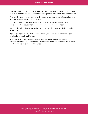We are lucky to live in a time where the clean movement is thriving and there are so many healthy revolutionaries offering clean products without chemicals.

The food in your kitchen can even be used to replace many of your cleaning products and will look and smell better.

We don't have to live with toxins in our lives, and we don't have to live chronically ill because there is no easy way to learn how to heal.

Our bodies will naturally support us when we nourish them, and clean eating does that.

I sincerely hope this guide has helped give you some ideas on trying clean eating for a healthier lifestyle.

If you're ready to take your healthy living to the next level try my Pantry Makeover where you'll discover healthy substitutions, how to read food labels, and why food additives can be problematic.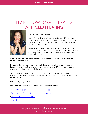## LEARN HOW TO GET STARTED WITH CLEAN EATING



Hi there—I'm Gina Ramirez

I am a Certified Health Coach and Licensed Professional Counselor and advocate for a simple, clean, and healthy lifestyle filled with the delicious (and nutritious) ingredients brought to us by nature.

Our world may be moving forward technologically, but some of the repercussions of cutting corners, especially with our food production and consumption have left people desperate for help.

Western medicine provides medicine that doesn't heal, and we deserve so much more than that.

If you are struggling with getting health food on the table, digestion and skin issues, fatigue, irritability, and other physical symptoms, it's time to get serious about your eating and lifestyle habits.

When you take control of your diet and what you allow into your home and body, you create an atmosphere for your body to heal and begin to function at its best again.

I can help you get there!

Let's take your health to the next level. Connect with me:

[~Pantry Makeover](https://wellnesswithgina.vipmembervault.com/products/courses/view/1108321) ~ Facebook

[~Wellness With Gina Website](https://www.wellnesswithgina.com/) [~Instagram](https://www.instagram.com/wellness.with.gina/)

[~Wellness With Gina Products](https://wellnesswithgina.vipmembervault.com/)

[~LinkedIn](https://www.linkedin.com/company/wellness-with-gina/)